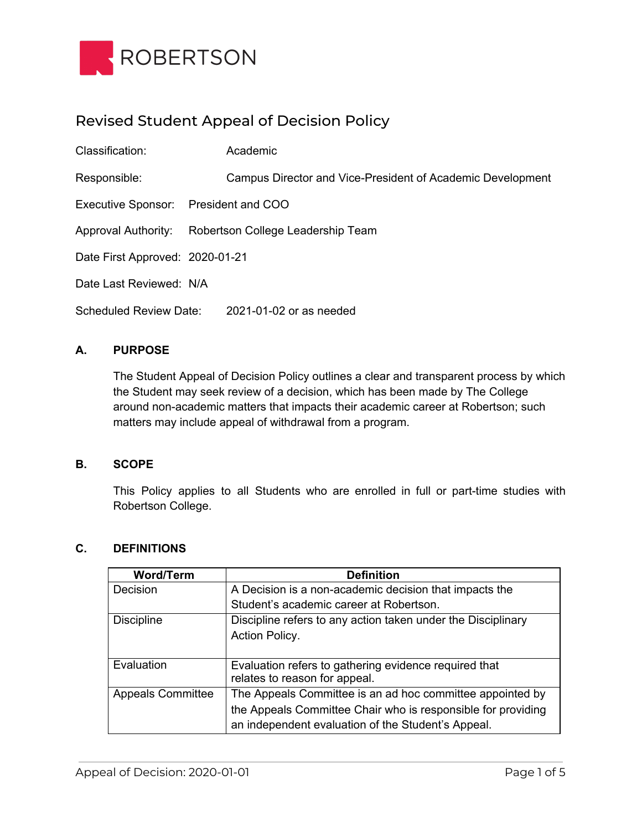

# Revised Student Appeal of Decision Policy

| Classification:                      | Academic                                                   |
|--------------------------------------|------------------------------------------------------------|
| Responsible:                         | Campus Director and Vice-President of Academic Development |
| Executive Sponsor: President and COO |                                                            |
| <b>Approval Authority:</b>           | Robertson College Leadership Team                          |
| Date First Approved: 2020-01-21      |                                                            |
| Date Last Reviewed: N/A              |                                                            |
| <b>Scheduled Review Date:</b>        | 2021-01-02 or as needed                                    |

## **A. PURPOSE**

The Student Appeal of Decision Policy outlines a clear and transparent process by which the Student may seek review of a decision, which has been made by The College around non-academic matters that impacts their academic career at Robertson; such matters may include appeal of withdrawal from a program.

#### **B. SCOPE**

This Policy applies to all Students who are enrolled in full or part-time studies with Robertson College.

#### **C. DEFINITIONS**

| <b>Word/Term</b>         | <b>Definition</b>                                            |
|--------------------------|--------------------------------------------------------------|
| Decision                 | A Decision is a non-academic decision that impacts the       |
|                          | Student's academic career at Robertson.                      |
| <b>Discipline</b>        | Discipline refers to any action taken under the Disciplinary |
|                          | Action Policy.                                               |
|                          |                                                              |
| Evaluation               | Evaluation refers to gathering evidence required that        |
|                          | relates to reason for appeal.                                |
| <b>Appeals Committee</b> | The Appeals Committee is an ad hoc committee appointed by    |
|                          | the Appeals Committee Chair who is responsible for providing |
|                          | an independent evaluation of the Student's Appeal.           |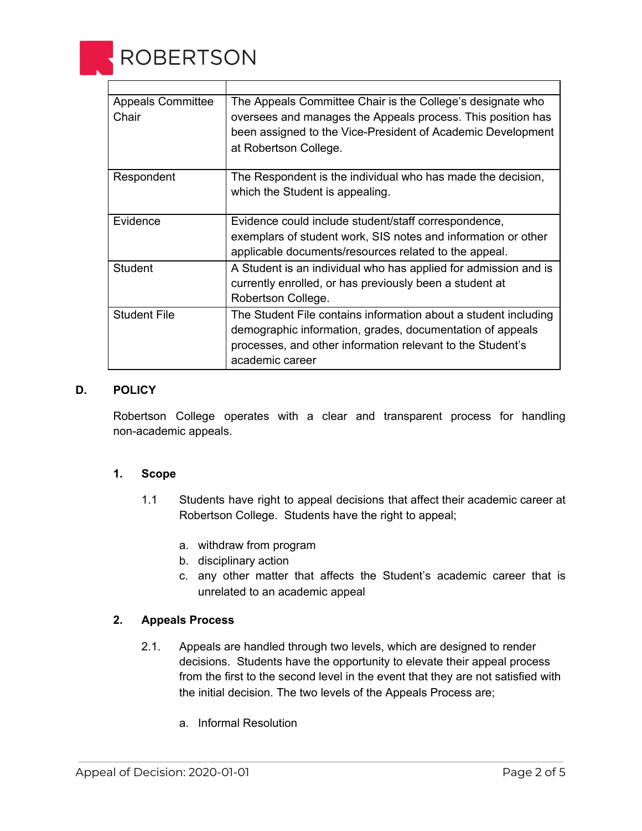

| <b>Appeals Committee</b><br>Chair | The Appeals Committee Chair is the College's designate who<br>oversees and manages the Appeals process. This position has<br>been assigned to the Vice-President of Academic Development<br>at Robertson College. |
|-----------------------------------|-------------------------------------------------------------------------------------------------------------------------------------------------------------------------------------------------------------------|
| Respondent                        | The Respondent is the individual who has made the decision,<br>which the Student is appealing.                                                                                                                    |
| Evidence                          | Evidence could include student/staff correspondence,                                                                                                                                                              |
|                                   | exemplars of student work, SIS notes and information or other<br>applicable documents/resources related to the appeal.                                                                                            |
| <b>Student</b>                    | A Student is an individual who has applied for admission and is                                                                                                                                                   |
|                                   | currently enrolled, or has previously been a student at                                                                                                                                                           |
|                                   | Robertson College.                                                                                                                                                                                                |
| <b>Student File</b>               | The Student File contains information about a student including<br>demographic information, grades, documentation of appeals<br>processes, and other information relevant to the Student's<br>academic career     |

## **D. POLICY**

Robertson College operates with a clear and transparent process for handling non-academic appeals.

## **1. Scope**

- 1.1 Students have right to appeal decisions that affect their academic career at Robertson College. Students have the right to appeal;
	- a. withdraw from program
	- b. disciplinary action
	- c. any other matter that affects the Student's academic career that is unrelated to an academic appeal

## **2. Appeals Process**

- 2.1. Appeals are handled through two levels, which are designed to render decisions. Students have the opportunity to elevate their appeal process from the first to the second level in the event that they are not satisfied with the initial decision. The two levels of the Appeals Process are;
	- a. Informal Resolution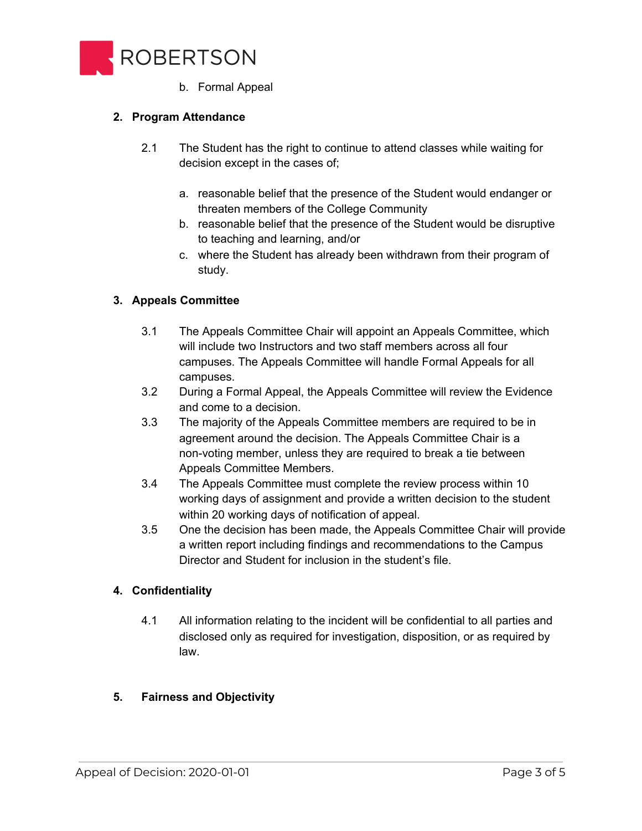

b. Formal Appeal

## **2. Program Attendance**

- 2.1 The Student has the right to continue to attend classes while waiting for decision except in the cases of;
	- a. reasonable belief that the presence of the Student would endanger or threaten members of the College Community
	- b. reasonable belief that the presence of the Student would be disruptive to teaching and learning, and/or
	- c. where the Student has already been withdrawn from their program of study.

## **3. Appeals Committee**

- 3.1 The Appeals Committee Chair will appoint an Appeals Committee, which will include two Instructors and two staff members across all four campuses. The Appeals Committee will handle Formal Appeals for all campuses.
- 3.2 During a Formal Appeal, the Appeals Committee will review the Evidence and come to a decision.
- 3.3 The majority of the Appeals Committee members are required to be in agreement around the decision. The Appeals Committee Chair is a non-voting member, unless they are required to break a tie between Appeals Committee Members.
- 3.4 The Appeals Committee must complete the review process within 10 working days of assignment and provide a written decision to the student within 20 working days of notification of appeal.
- 3.5 One the decision has been made, the Appeals Committee Chair will provide a written report including findings and recommendations to the Campus Director and Student for inclusion in the student's file.

## **4. Confidentiality**

4.1 All information relating to the incident will be confidential to all parties and disclosed only as required for investigation, disposition, or as required by law.

## **5. Fairness and Objectivity**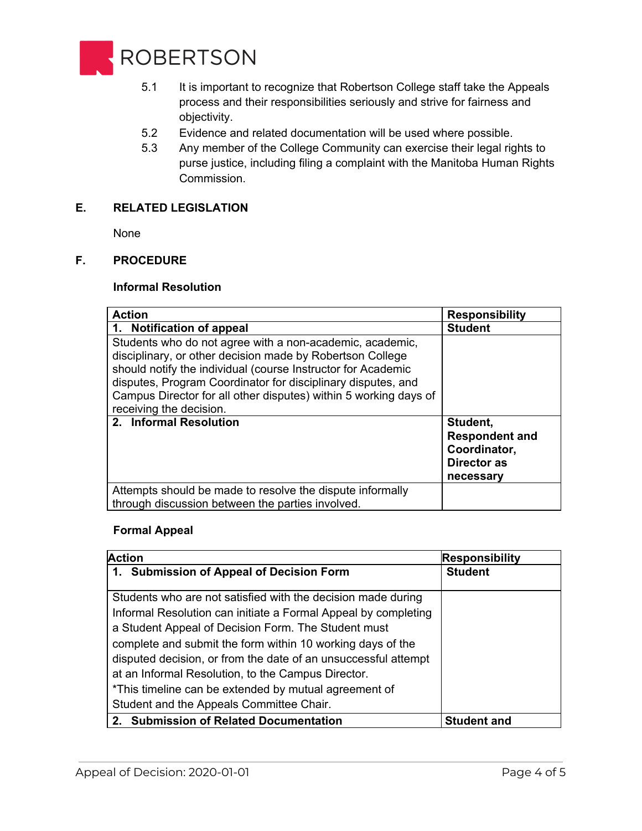

- 5.1 It is important to recognize that Robertson College staff take the Appeals process and their responsibilities seriously and strive for fairness and objectivity.
- 5.2 Evidence and related documentation will be used where possible.
- 5.3 Any member of the College Community can exercise their legal rights to purse justice, including filing a complaint with the Manitoba Human Rights Commission.

## **E. RELATED LEGISLATION**

None

## **F. PROCEDURE**

#### **Informal Resolution**

| <b>Action</b>                                                                                                                                                                                                                                                                                                                                        | <b>Responsibility</b>                                                                |
|------------------------------------------------------------------------------------------------------------------------------------------------------------------------------------------------------------------------------------------------------------------------------------------------------------------------------------------------------|--------------------------------------------------------------------------------------|
| 1. Notification of appeal                                                                                                                                                                                                                                                                                                                            | <b>Student</b>                                                                       |
| Students who do not agree with a non-academic, academic,<br>disciplinary, or other decision made by Robertson College<br>should notify the individual (course Instructor for Academic<br>disputes, Program Coordinator for disciplinary disputes, and<br>Campus Director for all other disputes) within 5 working days of<br>receiving the decision. |                                                                                      |
| 2. Informal Resolution                                                                                                                                                                                                                                                                                                                               | Student.<br><b>Respondent and</b><br>Coordinator,<br><b>Director as</b><br>necessary |
| Attempts should be made to resolve the dispute informally<br>through discussion between the parties involved.                                                                                                                                                                                                                                        |                                                                                      |

#### **Formal Appeal**

| <b>Action</b>                                                  | <b>Responsibility</b> |
|----------------------------------------------------------------|-----------------------|
| 1. Submission of Appeal of Decision Form                       | <b>Student</b>        |
| Students who are not satisfied with the decision made during   |                       |
| Informal Resolution can initiate a Formal Appeal by completing |                       |
| a Student Appeal of Decision Form. The Student must            |                       |
| complete and submit the form within 10 working days of the     |                       |
| disputed decision, or from the date of an unsuccessful attempt |                       |
| at an Informal Resolution, to the Campus Director.             |                       |
| *This timeline can be extended by mutual agreement of          |                       |
| Student and the Appeals Committee Chair.                       |                       |
| 2. Submission of Related Documentation                         | <b>Student and</b>    |